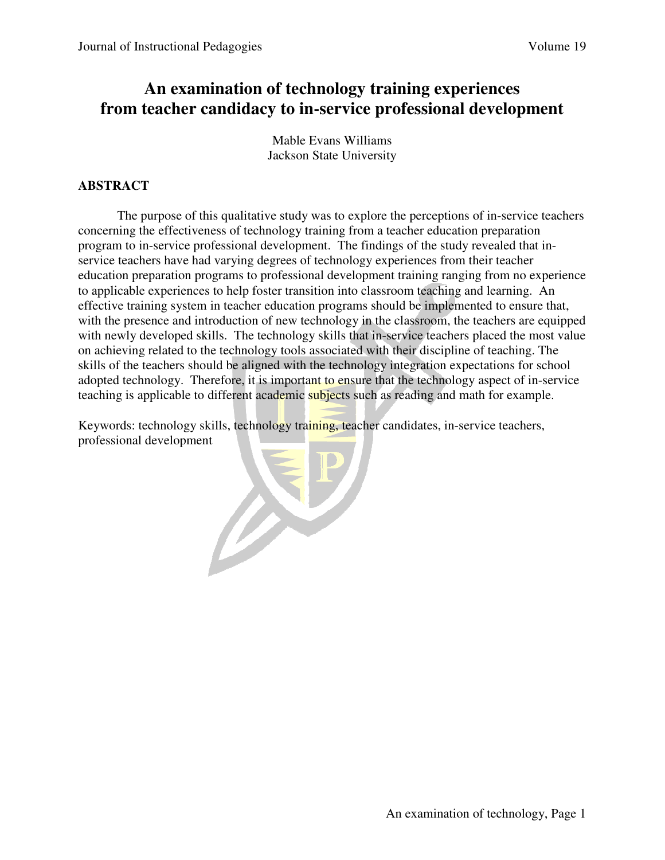# **An examination of technology training experiences from teacher candidacy to in-service professional development**

Mable Evans Williams Jackson State University

## **ABSTRACT**

The purpose of this qualitative study was to explore the perceptions of in-service teachers concerning the effectiveness of technology training from a teacher education preparation program to in-service professional development. The findings of the study revealed that inservice teachers have had varying degrees of technology experiences from their teacher education preparation programs to professional development training ranging from no experience to applicable experiences to help foster transition into classroom teaching and learning. An effective training system in teacher education programs should be implemented to ensure that, with the presence and introduction of new technology in the classroom, the teachers are equipped with newly developed skills. The technology skills that in-service teachers placed the most value on achieving related to the technology tools associated with their discipline of teaching. The skills of the teachers should be aligned with the technology integration expectations for school adopted technology. Therefore, it is important to ensure that the technology aspect of in-service teaching is applicable to different academic subjects such as reading and math for example.

Keywords: technology skills, technology training, teacher candidates, in-service teachers, professional development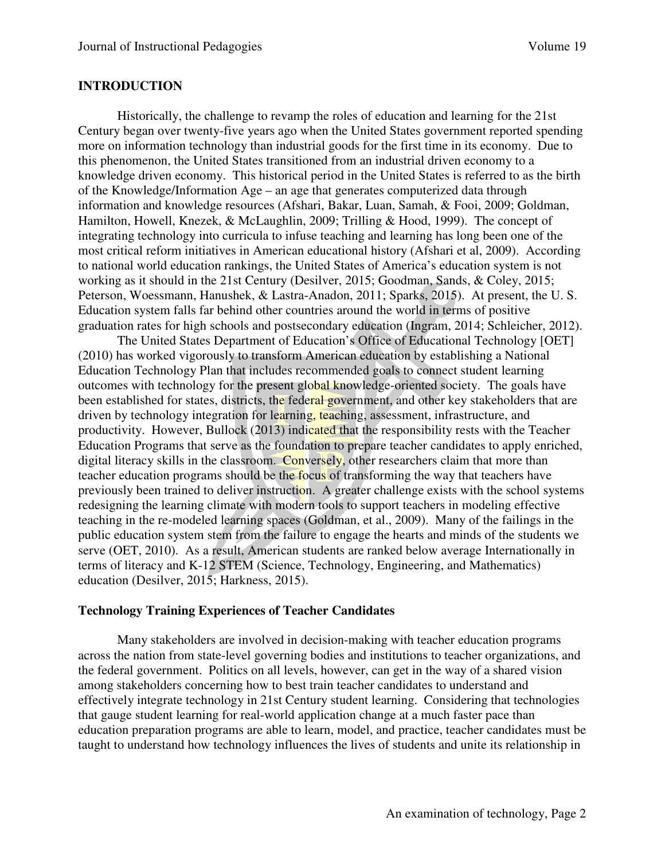#### **INTRODUCTION**

Historically, the challenge to revamp the roles of education and learning for the 21st Century began over twenty-five years ago when the United States government reported spending more on information technology than industrial goods for the first time in its economy. Due to this phenomenon, the United States transitioned from an industrial driven economy to a knowledge driven economy. This historical period in the United States is referred to as the birth of the Knowledge/Information Age – an age that generates computerized data through information and knowledge resources (Afshari, Bakar, Luan, Samah, & Fooi, 2009; Goldman, Hamilton, Howell, Knezek, & McLaughlin, 2009; Trilling & Hood, 1999). The concept of integrating technology into curricula to infuse teaching and learning has long been one of the most critical reform initiatives in American educational history (Afshari et al, 2009). According to national world education rankings, the United States of America's education system is not working as it should in the 21st Century (Desilver, 2015; Goodman, Sands, & Coley, 2015; Peterson, Woessmann, Hanushek, & Lastra-Anadon, 2011; Sparks, 2015). At present, the U. S. Education system falls far behind other countries around the world in terms of positive graduation rates for high schools and postsecondary education (Ingram, 2014; Schleicher, 2012).

The United States Department of Education's Office of Educational Technology [OET] (2010) has worked vigorously to transform American education by establishing a National Education Technology Plan that includes recommended goals to connect student learning outcomes with technology for the present global knowledge-oriented society. The goals have been established for states, districts, the federal government, and other key stakeholders that are driven by technology integration for learning, teaching, assessment, infrastructure, and productivity. However, Bullock (2013) indicated that the responsibility rests with the Teacher Education Programs that serve as the foundation to prepare teacher candidates to apply enriched, digital literacy skills in the classroom. Conversely, other researchers claim that more than teacher education programs should be the focus of transforming the way that teachers have previously been trained to deliver instruction. A greater challenge exists with the school systems redesigning the learning climate with modern tools to support teachers in modeling effective teaching in the re-modeled learning spaces (Goldman, et al., 2009). Many of the failings in the public education system stem from the failure to engage the hearts and minds of the students we serve (OET, 2010). As a result, American students are ranked below average Internationally in terms of literacy and K-12 STEM (Science, Technology, Engineering, and Mathematics) education (Desilver, 2015; Harkness, 2015).

#### **Technology Training Experiences of Teacher Candidates**

Many stakeholders are involved in decision-making with teacher education programs across the nation from state-level governing bodies and institutions to teacher organizations, and the federal government. Politics on all levels, however, can get in the way of a shared vision among stakeholders concerning how to best train teacher candidates to understand and effectively integrate technology in 21st Century student learning. Considering that technologies that gauge student learning for real-world application change at a much faster pace than education preparation programs are able to learn, model, and practice, teacher candidates must be taught to understand how technology influences the lives of students and unite its relationship in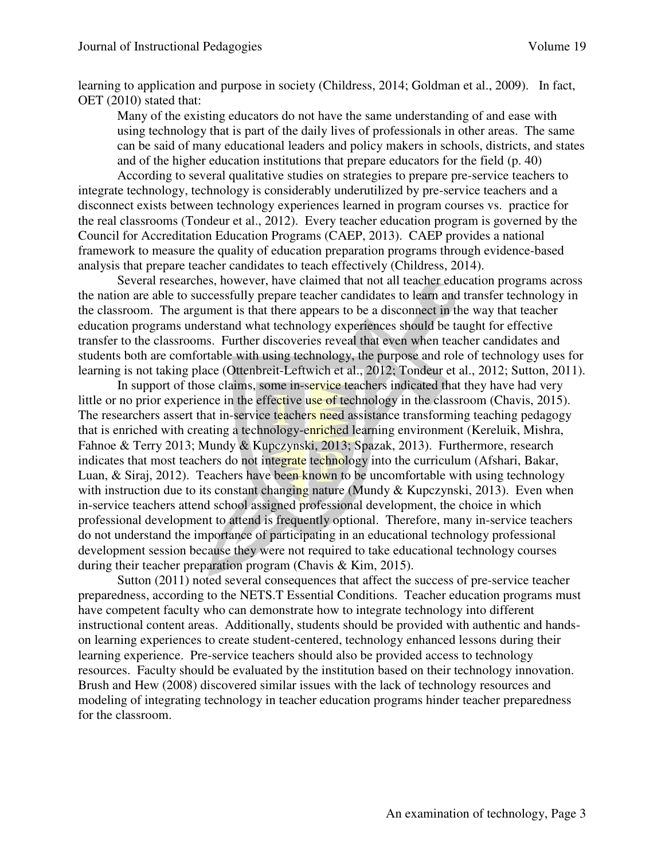learning to application and purpose in society (Childress, 2014; Goldman et al., 2009). In fact, OET (2010) stated that:

Many of the existing educators do not have the same understanding of and ease with using technology that is part of the daily lives of professionals in other areas. The same can be said of many educational leaders and policy makers in schools, districts, and states and of the higher education institutions that prepare educators for the field (p. 40)

According to several qualitative studies on strategies to prepare pre-service teachers to integrate technology, technology is considerably underutilized by pre-service teachers and a disconnect exists between technology experiences learned in program courses vs. practice for the real classrooms (Tondeur et al., 2012). Every teacher education program is governed by the Council for Accreditation Education Programs (CAEP, 2013). CAEP provides a national framework to measure the quality of education preparation programs through evidence-based analysis that prepare teacher candidates to teach effectively (Childress, 2014).

Several researches, however, have claimed that not all teacher education programs across the nation are able to successfully prepare teacher candidates to learn and transfer technology in the classroom. The argument is that there appears to be a disconnect in the way that teacher education programs understand what technology experiences should be taught for effective transfer to the classrooms. Further discoveries reveal that even when teacher candidates and students both are comfortable with using technology, the purpose and role of technology uses for learning is not taking place (Ottenbreit-Leftwich et al., 2012; Tondeur et al., 2012; Sutton, 2011).

In support of those claims, some in-service teachers indicated that they have had very little or no prior experience in the effective use of technology in the classroom (Chavis, 2015). The researchers assert that in-service teachers need assistance transforming teaching pedagogy that is enriched with creating a technology-enriched learning environment (Kereluik, Mishra, Fahnoe & Terry 2013; Mundy & Kupczynski, 2013; Spazak, 2013). Furthermore, research indicates that most teachers do not integrate technology into the curriculum (Afshari, Bakar, Luan, & Siraj, 2012). Teachers have been known to be uncomfortable with using technology with instruction due to its constant changing nature (Mundy & Kupczynski, 2013). Even when in-service teachers attend school assigned professional development, the choice in which professional development to attend is frequently optional. Therefore, many in-service teachers do not understand the importance of participating in an educational technology professional development session because they were not required to take educational technology courses during their teacher preparation program (Chavis & Kim, 2015).

Sutton (2011) noted several consequences that affect the success of pre-service teacher preparedness, according to the NETS.T Essential Conditions. Teacher education programs must have competent faculty who can demonstrate how to integrate technology into different instructional content areas. Additionally, students should be provided with authentic and handson learning experiences to create student-centered, technology enhanced lessons during their learning experience. Pre-service teachers should also be provided access to technology resources. Faculty should be evaluated by the institution based on their technology innovation. Brush and Hew (2008) discovered similar issues with the lack of technology resources and modeling of integrating technology in teacher education programs hinder teacher preparedness for the classroom.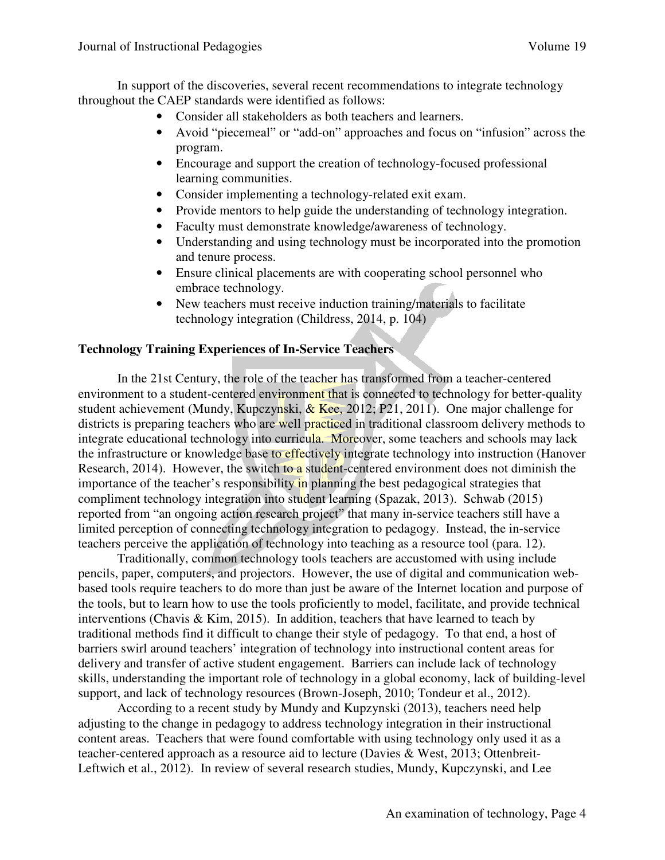In support of the discoveries, several recent recommendations to integrate technology throughout the CAEP standards were identified as follows:

- Consider all stakeholders as both teachers and learners.
- Avoid "piecemeal" or "add-on" approaches and focus on "infusion" across the program.
- Encourage and support the creation of technology-focused professional learning communities.
- Consider implementing a technology-related exit exam.
- Provide mentors to help guide the understanding of technology integration.
- Faculty must demonstrate knowledge/awareness of technology.
- Understanding and using technology must be incorporated into the promotion and tenure process.
- Ensure clinical placements are with cooperating school personnel who embrace technology.
- New teachers must receive induction training/materials to facilitate technology integration (Childress, 2014, p. 104)

#### **Technology Training Experiences of In-Service Teachers**

In the 21st Century, the role of the teacher has transformed from a teacher-centered environment to a student-centered environment that is connected to technology for better-quality student achievement (Mundy, Kupczynski,  $\&$  Kee, 2012; P21, 2011). One major challenge for districts is preparing teachers who are well practiced in traditional classroom delivery methods to integrate educational technology into curricula. Moreover, some teachers and schools may lack the infrastructure or knowledge base to effectively integrate technology into instruction (Hanover Research, 2014). However, the switch to a student-centered environment does not diminish the importance of the teacher's responsibility in planning the best pedagogical strategies that compliment technology integration into student learning (Spazak, 2013). Schwab (2015) reported from "an ongoing action research project" that many in-service teachers still have a limited perception of connecting technology integration to pedagogy. Instead, the in-service teachers perceive the application of technology into teaching as a resource tool (para. 12).

Traditionally, common technology tools teachers are accustomed with using include pencils, paper, computers, and projectors. However, the use of digital and communication webbased tools require teachers to do more than just be aware of the Internet location and purpose of the tools, but to learn how to use the tools proficiently to model, facilitate, and provide technical interventions (Chavis & Kim, 2015). In addition, teachers that have learned to teach by traditional methods find it difficult to change their style of pedagogy. To that end, a host of barriers swirl around teachers' integration of technology into instructional content areas for delivery and transfer of active student engagement. Barriers can include lack of technology skills, understanding the important role of technology in a global economy, lack of building-level support, and lack of technology resources (Brown-Joseph, 2010; Tondeur et al., 2012).

According to a recent study by Mundy and Kupzynski (2013), teachers need help adjusting to the change in pedagogy to address technology integration in their instructional content areas. Teachers that were found comfortable with using technology only used it as a teacher-centered approach as a resource aid to lecture (Davies & West, 2013; Ottenbreit-Leftwich et al., 2012). In review of several research studies, Mundy, Kupczynski, and Lee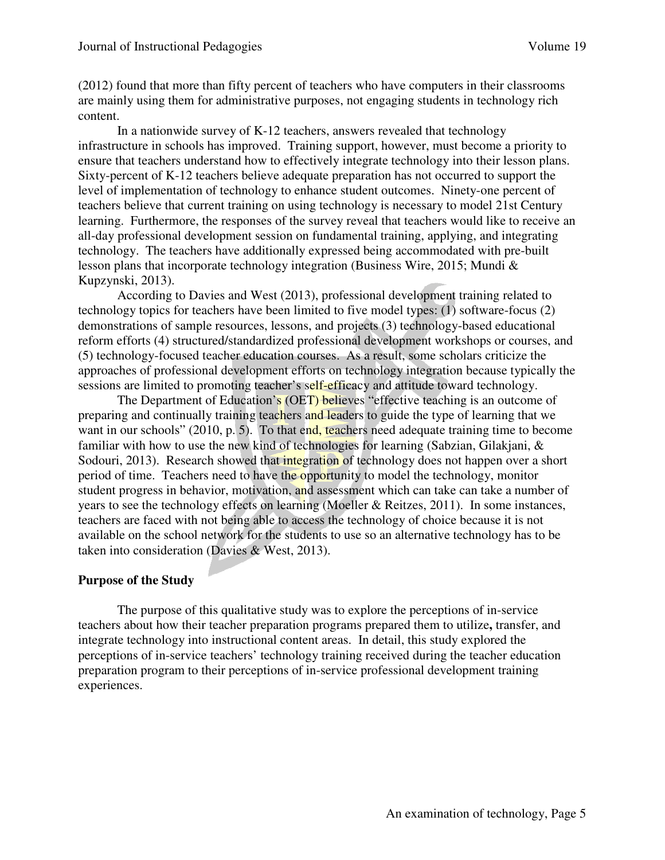(2012) found that more than fifty percent of teachers who have computers in their classrooms are mainly using them for administrative purposes, not engaging students in technology rich content.

In a nationwide survey of K-12 teachers, answers revealed that technology infrastructure in schools has improved. Training support, however, must become a priority to ensure that teachers understand how to effectively integrate technology into their lesson plans. Sixty-percent of K-12 teachers believe adequate preparation has not occurred to support the level of implementation of technology to enhance student outcomes. Ninety-one percent of teachers believe that current training on using technology is necessary to model 21st Century learning. Furthermore, the responses of the survey reveal that teachers would like to receive an all-day professional development session on fundamental training, applying, and integrating technology. The teachers have additionally expressed being accommodated with pre-built lesson plans that incorporate technology integration (Business Wire, 2015; Mundi & Kupzynski, 2013).

According to Davies and West (2013), professional development training related to technology topics for teachers have been limited to five model types: (1) software-focus (2) demonstrations of sample resources, lessons, and projects (3) technology-based educational reform efforts (4) structured/standardized professional development workshops or courses, and (5) technology-focused teacher education courses. As a result, some scholars criticize the approaches of professional development efforts on technology integration because typically the sessions are limited to promoting teacher's self-efficacy and attitude toward technology.

The Department of Education's (OET) believes "effective teaching is an outcome of preparing and continually training teachers and leaders to guide the type of learning that we want in our schools" (2010, p. 5). To that end, teachers need adequate training time to become familiar with how to use the new kind of technologies for learning (Sabzian, Gilakjani, & Sodouri, 2013). Research showed that integration of technology does not happen over a short period of time. Teachers need to have the opportunity to model the technology, monitor student progress in behavior, motivation, and assessment which can take can take a number of years to see the technology effects on learning (Moeller & Reitzes, 2011). In some instances, teachers are faced with not being able to access the technology of choice because it is not available on the school network for the students to use so an alternative technology has to be taken into consideration (Davies & West, 2013).

## **Purpose of the Study**

The purpose of this qualitative study was to explore the perceptions of in-service teachers about how their teacher preparation programs prepared them to utilize**,** transfer, and integrate technology into instructional content areas. In detail, this study explored the perceptions of in-service teachers' technology training received during the teacher education preparation program to their perceptions of in-service professional development training experiences.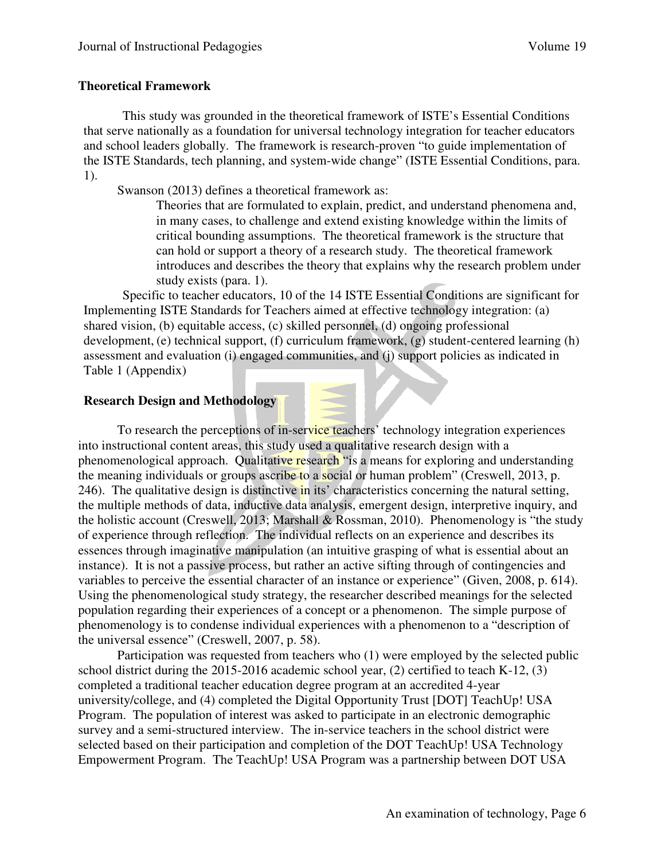#### **Theoretical Framework**

This study was grounded in the theoretical framework of ISTE's Essential Conditions that serve nationally as a foundation for universal technology integration for teacher educators and school leaders globally. The framework is research-proven "to guide implementation of the ISTE Standards, tech planning, and system-wide change" (ISTE Essential Conditions, para. 1).

Swanson (2013) defines a theoretical framework as:

Theories that are formulated to explain, predict, and understand phenomena and, in many cases, to challenge and extend existing knowledge within the limits of critical bounding assumptions. The theoretical framework is the structure that can hold or support a theory of a research study. The theoretical framework introduces and describes the theory that explains why the research problem under study exists (para. 1).

Specific to teacher educators, 10 of the 14 ISTE Essential Conditions are significant for Implementing ISTE Standards for Teachers aimed at effective technology integration: (a) shared vision, (b) equitable access, (c) skilled personnel, (d) ongoing professional development, (e) technical support, (f) curriculum framework, (g) student-centered learning (h) assessment and evaluation (i) engaged communities, and (j) support policies as indicated in Table 1 (Appendix)

## **Research Design and Methodology**

To research the perceptions of in-service teachers' technology integration experiences into instructional content areas, this study used a qualitative research design with a phenomenological approach. Qualitative research "is a means for exploring and understanding the meaning individuals or groups ascribe to a social or human problem" (Creswell, 2013, p. 246). The qualitative design is distinctive in its' characteristics concerning the natural setting, the multiple methods of data, inductive data analysis, emergent design, interpretive inquiry, and the holistic account (Creswell, 2013; Marshall & Rossman, 2010). Phenomenology is "the study of experience through reflection. The individual reflects on an experience and describes its essences through imaginative manipulation (an intuitive grasping of what is essential about an instance). It is not a passive process, but rather an active sifting through of contingencies and variables to perceive the essential character of an instance or experience" (Given, 2008, p. 614). Using the phenomenological study strategy, the researcher described meanings for the selected population regarding their experiences of a concept or a phenomenon. The simple purpose of phenomenology is to condense individual experiences with a phenomenon to a "description of the universal essence" (Creswell, 2007, p. 58).

 Participation was requested from teachers who (1) were employed by the selected public school district during the 2015-2016 academic school year, (2) certified to teach K-12, (3) completed a traditional teacher education degree program at an accredited 4-year university/college, and (4) completed the Digital Opportunity Trust [DOT] TeachUp! USA Program. The population of interest was asked to participate in an electronic demographic survey and a semi-structured interview. The in-service teachers in the school district were selected based on their participation and completion of the DOT TeachUp! USA Technology Empowerment Program. The TeachUp! USA Program was a partnership between DOT USA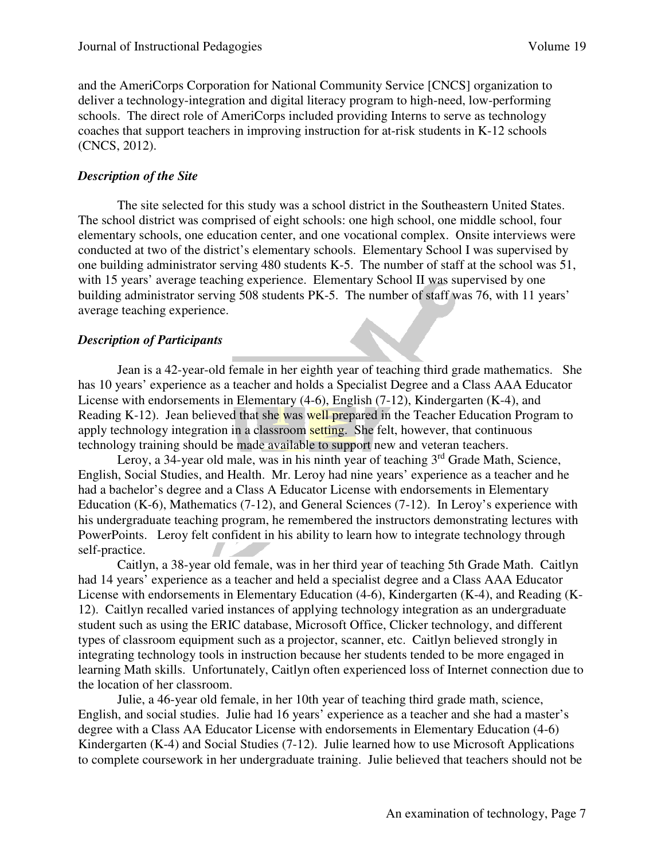and the AmeriCorps Corporation for National Community Service [CNCS] organization to deliver a technology-integration and digital literacy program to high-need, low-performing schools. The direct role of AmeriCorps included providing Interns to serve as technology coaches that support teachers in improving instruction for at-risk students in K-12 schools (CNCS, 2012).

#### *Description of the Site*

The site selected for this study was a school district in the Southeastern United States. The school district was comprised of eight schools: one high school, one middle school, four elementary schools, one education center, and one vocational complex. Onsite interviews were conducted at two of the district's elementary schools. Elementary School I was supervised by one building administrator serving 480 students K-5. The number of staff at the school was 51, with 15 years' average teaching experience. Elementary School II was supervised by one building administrator serving 508 students PK-5. The number of staff was 76, with 11 years' average teaching experience.

#### *Description of Participants*

Jean is a 42-year-old female in her eighth year of teaching third grade mathematics. She has 10 years' experience as a teacher and holds a Specialist Degree and a Class AAA Educator License with endorsements in Elementary (4-6), English (7-12), Kindergarten (K-4), and Reading K-12). Jean believed that she was well prepared in the Teacher Education Program to apply technology integration in a classroom setting. She felt, however, that continuous technology training should be made available to support new and veteran teachers.

Leroy, a 34-year old male, was in his ninth year of teaching  $3<sup>rd</sup>$  Grade Math, Science, English, Social Studies, and Health. Mr. Leroy had nine years' experience as a teacher and he had a bachelor's degree and a Class A Educator License with endorsements in Elementary Education (K-6), Mathematics (7-12), and General Sciences (7-12). In Leroy's experience with his undergraduate teaching program, he remembered the instructors demonstrating lectures with PowerPoints. Leroy felt confident in his ability to learn how to integrate technology through self-practice.

Caitlyn, a 38-year old female, was in her third year of teaching 5th Grade Math. Caitlyn had 14 years' experience as a teacher and held a specialist degree and a Class AAA Educator License with endorsements in Elementary Education (4-6), Kindergarten (K-4), and Reading (K-12). Caitlyn recalled varied instances of applying technology integration as an undergraduate student such as using the ERIC database, Microsoft Office, Clicker technology, and different types of classroom equipment such as a projector, scanner, etc. Caitlyn believed strongly in integrating technology tools in instruction because her students tended to be more engaged in learning Math skills. Unfortunately, Caitlyn often experienced loss of Internet connection due to the location of her classroom.

Julie, a 46-year old female, in her 10th year of teaching third grade math, science, English, and social studies. Julie had 16 years' experience as a teacher and she had a master's degree with a Class AA Educator License with endorsements in Elementary Education (4-6) Kindergarten (K-4) and Social Studies (7-12). Julie learned how to use Microsoft Applications to complete coursework in her undergraduate training. Julie believed that teachers should not be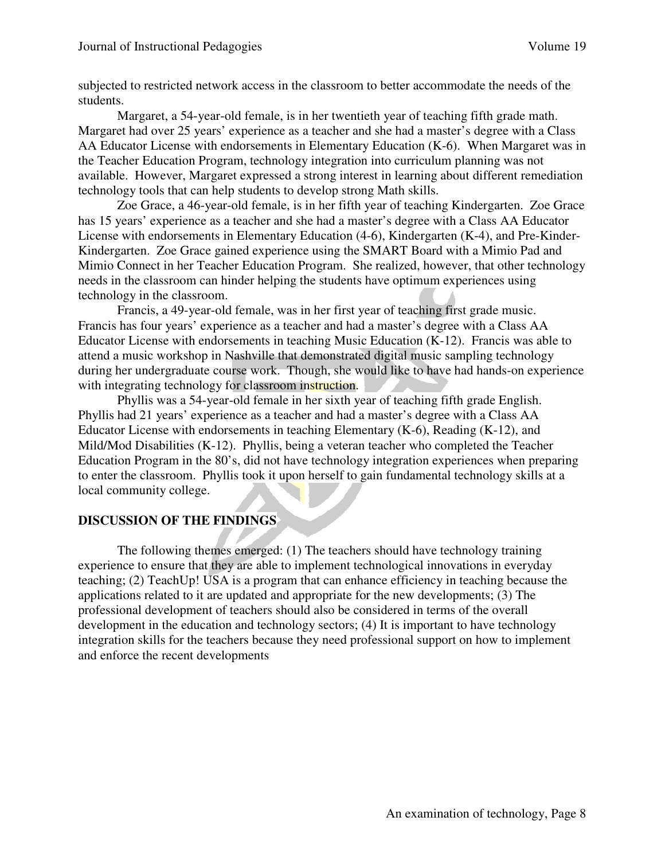subjected to restricted network access in the classroom to better accommodate the needs of the students.

Margaret, a 54-year-old female, is in her twentieth year of teaching fifth grade math. Margaret had over 25 years' experience as a teacher and she had a master's degree with a Class AA Educator License with endorsements in Elementary Education (K-6). When Margaret was in the Teacher Education Program, technology integration into curriculum planning was not available. However, Margaret expressed a strong interest in learning about different remediation technology tools that can help students to develop strong Math skills.

Zoe Grace, a 46-year-old female, is in her fifth year of teaching Kindergarten. Zoe Grace has 15 years' experience as a teacher and she had a master's degree with a Class AA Educator License with endorsements in Elementary Education (4-6), Kindergarten (K-4), and Pre-Kinder-Kindergarten. Zoe Grace gained experience using the SMART Board with a Mimio Pad and Mimio Connect in her Teacher Education Program. She realized, however, that other technology needs in the classroom can hinder helping the students have optimum experiences using technology in the classroom.

Francis, a 49-year-old female, was in her first year of teaching first grade music. Francis has four years' experience as a teacher and had a master's degree with a Class AA Educator License with endorsements in teaching Music Education (K-12). Francis was able to attend a music workshop in Nashville that demonstrated digital music sampling technology during her undergraduate course work. Though, she would like to have had hands-on experience with integrating technology for classroom instruction.

Phyllis was a 54-year-old female in her sixth year of teaching fifth grade English. Phyllis had 21 years' experience as a teacher and had a master's degree with a Class AA Educator License with endorsements in teaching Elementary (K-6), Reading (K-12), and Mild/Mod Disabilities (K-12). Phyllis, being a veteran teacher who completed the Teacher Education Program in the 80's, did not have technology integration experiences when preparing to enter the classroom. Phyllis took it upon herself to gain fundamental technology skills at a local community college.

## **DISCUSSION OF THE FINDINGS**

The following themes emerged: (1) The teachers should have technology training experience to ensure that they are able to implement technological innovations in everyday teaching; (2) TeachUp! USA is a program that can enhance efficiency in teaching because the applications related to it are updated and appropriate for the new developments; (3) The professional development of teachers should also be considered in terms of the overall development in the education and technology sectors; (4) It is important to have technology integration skills for the teachers because they need professional support on how to implement and enforce the recent developments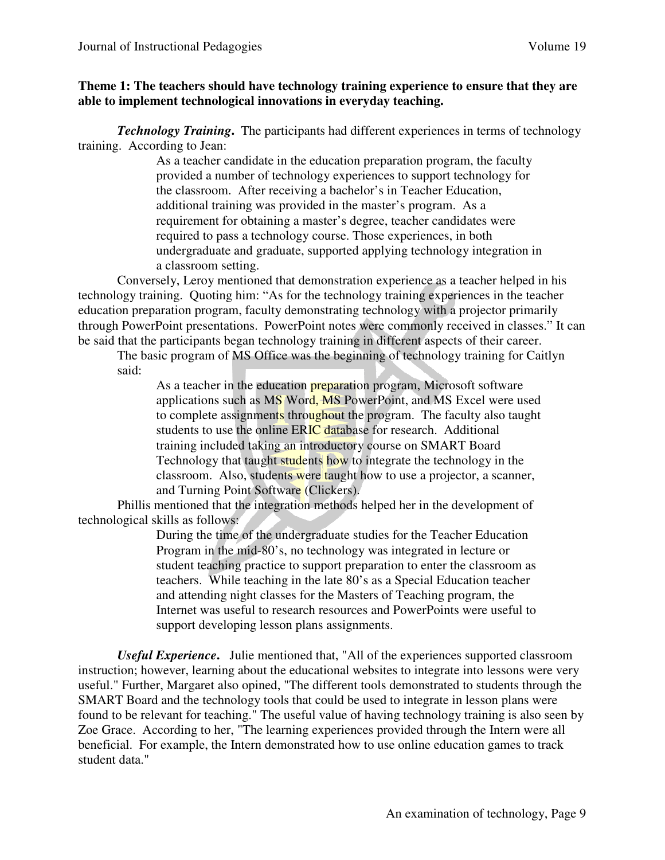#### **Theme 1: The teachers should have technology training experience to ensure that they are able to implement technological innovations in everyday teaching.**

*Technology Training***.** The participants had different experiences in terms of technology training. According to Jean:

> As a teacher candidate in the education preparation program, the faculty provided a number of technology experiences to support technology for the classroom. After receiving a bachelor's in Teacher Education, additional training was provided in the master's program. As a requirement for obtaining a master's degree, teacher candidates were required to pass a technology course. Those experiences, in both undergraduate and graduate, supported applying technology integration in a classroom setting.

Conversely, Leroy mentioned that demonstration experience as a teacher helped in his technology training. Quoting him: "As for the technology training experiences in the teacher education preparation program, faculty demonstrating technology with a projector primarily through PowerPoint presentations. PowerPoint notes were commonly received in classes." It can be said that the participants began technology training in different aspects of their career.

The basic program of MS Office was the beginning of technology training for Caitlyn said:

As a teacher in the education **preparation** program, Microsoft software applications such as MS Word, MS PowerPoint, and MS Excel were used to complete assignments throughout the program. The faculty also taught students to use the online ERIC database for research. Additional training included taking an introductory course on SMART Board Technology that taught students how to integrate the technology in the classroom. Also, students were taught how to use a projector, a scanner, and Turning Point Software (Clickers).

Phillis mentioned that the integration methods helped her in the development of technological skills as follows:

> During the time of the undergraduate studies for the Teacher Education Program in the mid-80's, no technology was integrated in lecture or student teaching practice to support preparation to enter the classroom as teachers. While teaching in the late 80's as a Special Education teacher and attending night classes for the Masters of Teaching program, the Internet was useful to research resources and PowerPoints were useful to support developing lesson plans assignments.

*Useful Experience***.** Julie mentioned that, "All of the experiences supported classroom instruction; however, learning about the educational websites to integrate into lessons were very useful." Further, Margaret also opined, "The different tools demonstrated to students through the SMART Board and the technology tools that could be used to integrate in lesson plans were found to be relevant for teaching." The useful value of having technology training is also seen by Zoe Grace. According to her, "The learning experiences provided through the Intern were all beneficial. For example, the Intern demonstrated how to use online education games to track student data."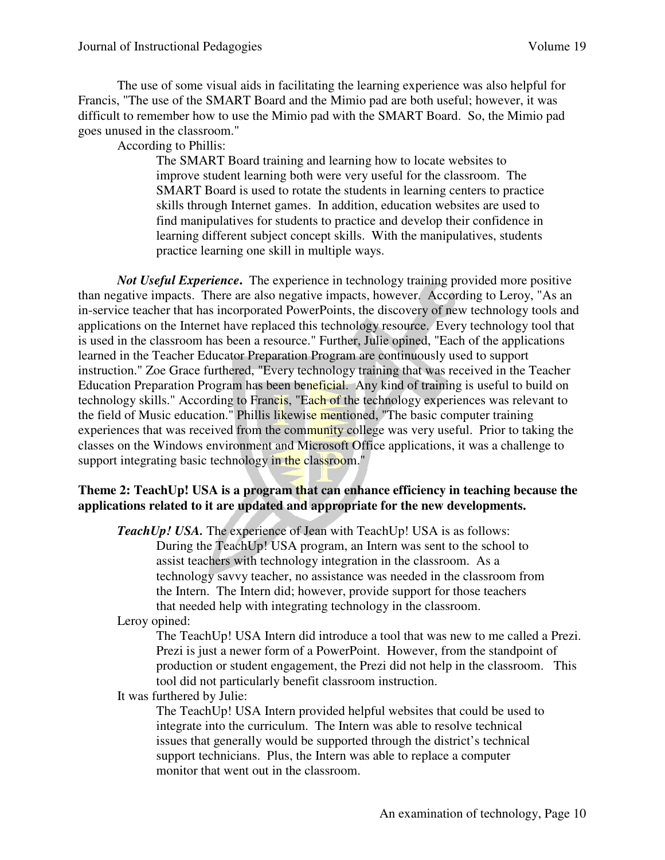The use of some visual aids in facilitating the learning experience was also helpful for Francis, "The use of the SMART Board and the Mimio pad are both useful; however, it was difficult to remember how to use the Mimio pad with the SMART Board. So, the Mimio pad goes unused in the classroom."

According to Phillis:

The SMART Board training and learning how to locate websites to improve student learning both were very useful for the classroom. The SMART Board is used to rotate the students in learning centers to practice skills through Internet games. In addition, education websites are used to find manipulatives for students to practice and develop their confidence in learning different subject concept skills. With the manipulatives, students practice learning one skill in multiple ways.

*Not Useful Experience***.** The experience in technology training provided more positive than negative impacts. There are also negative impacts, however. According to Leroy, "As an in-service teacher that has incorporated PowerPoints, the discovery of new technology tools and applications on the Internet have replaced this technology resource. Every technology tool that is used in the classroom has been a resource." Further, Julie opined, "Each of the applications learned in the Teacher Educator Preparation Program are continuously used to support instruction." Zoe Grace furthered, "Every technology training that was received in the Teacher Education Preparation Program has been beneficial. Any kind of training is useful to build on technology skills." According to Francis, "Each of the technology experiences was relevant to the field of Music education." Phillis likewise mentioned, "The basic computer training experiences that was received from the community college was very useful. Prior to taking the classes on the Windows environment and Microsoft Office applications, it was a challenge to support integrating basic technology in the classroom."

#### **Theme 2: TeachUp! USA is a program that can enhance efficiency in teaching because the applications related to it are updated and appropriate for the new developments.**

**TeachUp! USA.** The experience of Jean with TeachUp! USA is as follows:

During the TeachUp! USA program, an Intern was sent to the school to assist teachers with technology integration in the classroom. As a technology savvy teacher, no assistance was needed in the classroom from the Intern. The Intern did; however, provide support for those teachers that needed help with integrating technology in the classroom.

## Leroy opined:

The TeachUp! USA Intern did introduce a tool that was new to me called a Prezi. Prezi is just a newer form of a PowerPoint. However, from the standpoint of production or student engagement, the Prezi did not help in the classroom. This tool did not particularly benefit classroom instruction.

It was furthered by Julie:

The TeachUp! USA Intern provided helpful websites that could be used to integrate into the curriculum. The Intern was able to resolve technical issues that generally would be supported through the district's technical support technicians. Plus, the Intern was able to replace a computer monitor that went out in the classroom.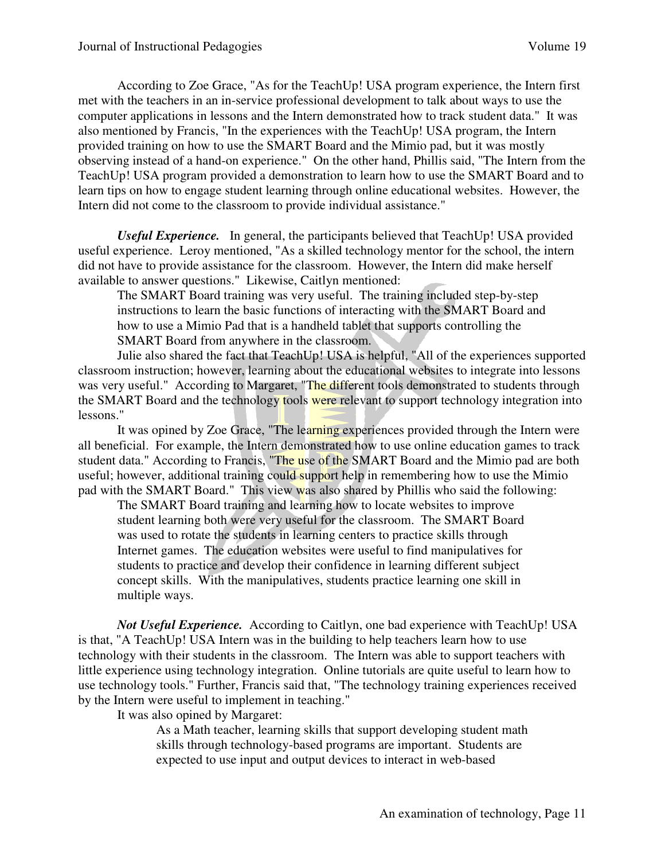According to Zoe Grace, "As for the TeachUp! USA program experience, the Intern first met with the teachers in an in-service professional development to talk about ways to use the computer applications in lessons and the Intern demonstrated how to track student data." It was also mentioned by Francis, "In the experiences with the TeachUp! USA program, the Intern provided training on how to use the SMART Board and the Mimio pad, but it was mostly observing instead of a hand-on experience." On the other hand, Phillis said, "The Intern from the TeachUp! USA program provided a demonstration to learn how to use the SMART Board and to learn tips on how to engage student learning through online educational websites. However, the Intern did not come to the classroom to provide individual assistance."

*Useful Experience.*In general, the participants believed that TeachUp! USA provided useful experience. Leroy mentioned, "As a skilled technology mentor for the school, the intern did not have to provide assistance for the classroom. However, the Intern did make herself available to answer questions." Likewise, Caitlyn mentioned:

The SMART Board training was very useful. The training included step-by-step instructions to learn the basic functions of interacting with the SMART Board and how to use a Mimio Pad that is a handheld tablet that supports controlling the SMART Board from anywhere in the classroom.

Julie also shared the fact that TeachUp! USA is helpful, "All of the experiences supported classroom instruction; however, learning about the educational websites to integrate into lessons was very useful." According to Margaret, "The different tools demonstrated to students through the SMART Board and the technology tools were relevant to support technology integration into lessons."

It was opined by Zoe Grace, "The learning experiences provided through the Intern were all beneficial. For example, the Intern demonstrated how to use online education games to track student data." According to Francis, "The use of the SMART Board and the Mimio pad are both useful; however, additional training could support help in remembering how to use the Mimio pad with the SMART Board." This view was also shared by Phillis who said the following:

The SMART Board training and learning how to locate websites to improve student learning both were very useful for the classroom. The SMART Board was used to rotate the students in learning centers to practice skills through Internet games. The education websites were useful to find manipulatives for students to practice and develop their confidence in learning different subject concept skills. With the manipulatives, students practice learning one skill in multiple ways.

*Not Useful Experience.*According to Caitlyn, one bad experience with TeachUp! USA is that, "A TeachUp! USA Intern was in the building to help teachers learn how to use technology with their students in the classroom. The Intern was able to support teachers with little experience using technology integration. Online tutorials are quite useful to learn how to use technology tools." Further, Francis said that, "The technology training experiences received by the Intern were useful to implement in teaching."

It was also opined by Margaret:

As a Math teacher, learning skills that support developing student math skills through technology-based programs are important. Students are expected to use input and output devices to interact in web-based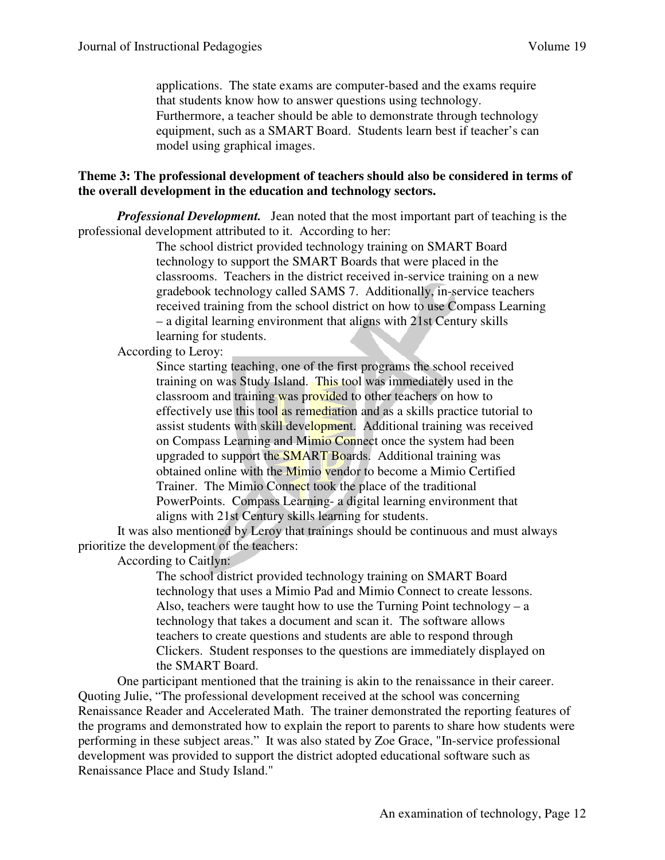applications. The state exams are computer-based and the exams require that students know how to answer questions using technology. Furthermore, a teacher should be able to demonstrate through technology equipment, such as a SMART Board. Students learn best if teacher's can model using graphical images.

#### **Theme 3: The professional development of teachers should also be considered in terms of the overall development in the education and technology sectors.**

*Professional Development.* Jean noted that the most important part of teaching is the professional development attributed to it. According to her:

> The school district provided technology training on SMART Board technology to support the SMART Boards that were placed in the classrooms. Teachers in the district received in-service training on a new gradebook technology called SAMS 7. Additionally, in-service teachers received training from the school district on how to use Compass Learning – a digital learning environment that aligns with 21st Century skills learning for students.

According to Leroy:

Since starting teaching, one of the first programs the school received training on was Study Island. This tool was immediately used in the classroom and training was provided to other teachers on how to effectively use this tool as remediation and as a skills practice tutorial to assist students with skill development. Additional training was received on Compass Learning and Mimio Connect once the system had been upgraded to support the SMART Boards. Additional training was obtained online with the Mimio vendor to become a Mimio Certified Trainer. The Mimio Connect took the place of the traditional PowerPoints. Compass Learning- a digital learning environment that aligns with 21st Century skills learning for students.

It was also mentioned by Leroy that trainings should be continuous and must always prioritize the development of the teachers:

According to Caitlyn:

The school district provided technology training on SMART Board technology that uses a Mimio Pad and Mimio Connect to create lessons. Also, teachers were taught how to use the Turning Point technology – a technology that takes a document and scan it. The software allows teachers to create questions and students are able to respond through Clickers. Student responses to the questions are immediately displayed on the SMART Board.

One participant mentioned that the training is akin to the renaissance in their career. Quoting Julie, "The professional development received at the school was concerning Renaissance Reader and Accelerated Math. The trainer demonstrated the reporting features of the programs and demonstrated how to explain the report to parents to share how students were performing in these subject areas." It was also stated by Zoe Grace, "In-service professional development was provided to support the district adopted educational software such as Renaissance Place and Study Island."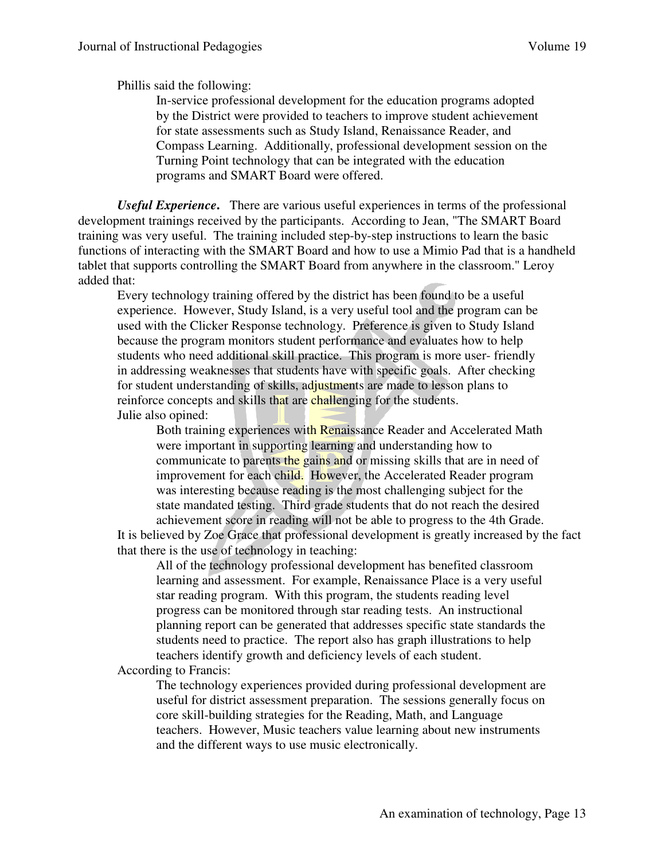Phillis said the following:

In-service professional development for the education programs adopted by the District were provided to teachers to improve student achievement for state assessments such as Study Island, Renaissance Reader, and Compass Learning. Additionally, professional development session on the Turning Point technology that can be integrated with the education programs and SMART Board were offered.

*Useful Experience***.** There are various useful experiences in terms of the professional development trainings received by the participants. According to Jean, "The SMART Board training was very useful. The training included step-by-step instructions to learn the basic functions of interacting with the SMART Board and how to use a Mimio Pad that is a handheld tablet that supports controlling the SMART Board from anywhere in the classroom." Leroy added that:

Every technology training offered by the district has been found to be a useful experience. However, Study Island, is a very useful tool and the program can be used with the Clicker Response technology. Preference is given to Study Island because the program monitors student performance and evaluates how to help students who need additional skill practice. This program is more user- friendly in addressing weaknesses that students have with specific goals. After checking for student understanding of skills, adjustments are made to lesson plans to reinforce concepts and skills that are challenging for the students. Julie also opined:

Both training experiences with Renaissance Reader and Accelerated Math were important in supporting learning and understanding how to communicate to parents the gains and or missing skills that are in need of improvement for each child. However, the Accelerated Reader program was interesting because reading is the most challenging subject for the state mandated testing. Third grade students that do not reach the desired achievement score in reading will not be able to progress to the 4th Grade.

It is believed by Zoe Grace that professional development is greatly increased by the fact that there is the use of technology in teaching:

All of the technology professional development has benefited classroom learning and assessment. For example, Renaissance Place is a very useful star reading program. With this program, the students reading level progress can be monitored through star reading tests. An instructional planning report can be generated that addresses specific state standards the students need to practice. The report also has graph illustrations to help teachers identify growth and deficiency levels of each student.

According to Francis:

The technology experiences provided during professional development are useful for district assessment preparation. The sessions generally focus on core skill-building strategies for the Reading, Math, and Language teachers. However, Music teachers value learning about new instruments and the different ways to use music electronically.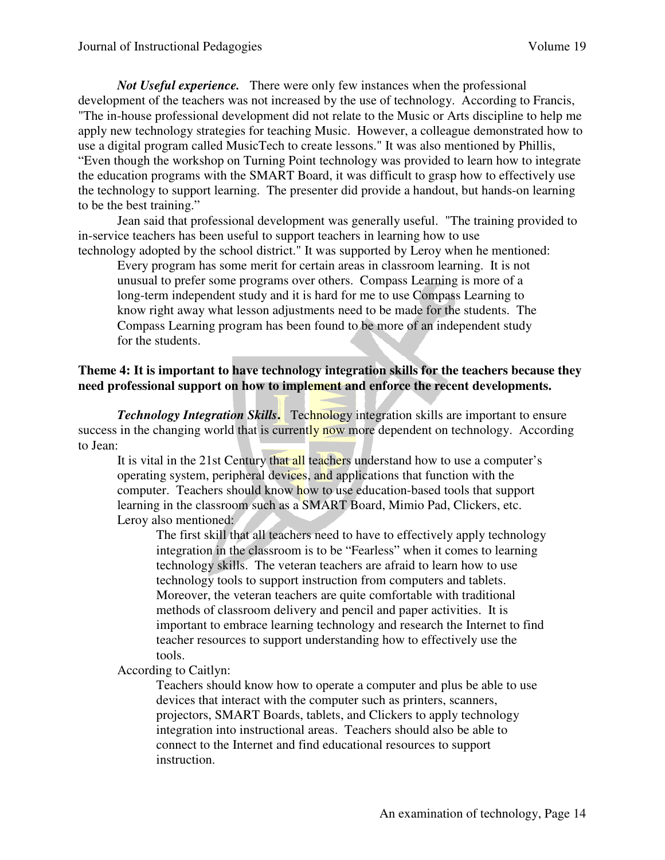*Not Useful experience.*There were only few instances when the professional development of the teachers was not increased by the use of technology. According to Francis, "The in-house professional development did not relate to the Music or Arts discipline to help me apply new technology strategies for teaching Music. However, a colleague demonstrated how to use a digital program called MusicTech to create lessons." It was also mentioned by Phillis, "Even though the workshop on Turning Point technology was provided to learn how to integrate the education programs with the SMART Board, it was difficult to grasp how to effectively use the technology to support learning. The presenter did provide a handout, but hands-on learning to be the best training."

Jean said that professional development was generally useful. "The training provided to in-service teachers has been useful to support teachers in learning how to use technology adopted by the school district." It was supported by Leroy when he mentioned:

Every program has some merit for certain areas in classroom learning. It is not unusual to prefer some programs over others. Compass Learning is more of a long-term independent study and it is hard for me to use Compass Learning to know right away what lesson adjustments need to be made for the students. The Compass Learning program has been found to be more of an independent study for the students.

#### **Theme 4: It is important to have technology integration skills for the teachers because they need professional support on how to implement and enforce the recent developments.**

*Technology Integration Skills.* Technology integration skills are important to ensure success in the changing world that is currently now more dependent on technology. According to Jean:

It is vital in the 21st Century that all teachers understand how to use a computer's operating system, peripheral devices, and applications that function with the computer. Teachers should know how to use education-based tools that support learning in the classroom such as a SMART Board, Mimio Pad, Clickers, etc. Leroy also mentioned:

The first skill that all teachers need to have to effectively apply technology integration in the classroom is to be "Fearless" when it comes to learning technology skills. The veteran teachers are afraid to learn how to use technology tools to support instruction from computers and tablets. Moreover, the veteran teachers are quite comfortable with traditional methods of classroom delivery and pencil and paper activities. It is important to embrace learning technology and research the Internet to find teacher resources to support understanding how to effectively use the tools.

According to Caitlyn:

Teachers should know how to operate a computer and plus be able to use devices that interact with the computer such as printers, scanners, projectors, SMART Boards, tablets, and Clickers to apply technology integration into instructional areas. Teachers should also be able to connect to the Internet and find educational resources to support instruction.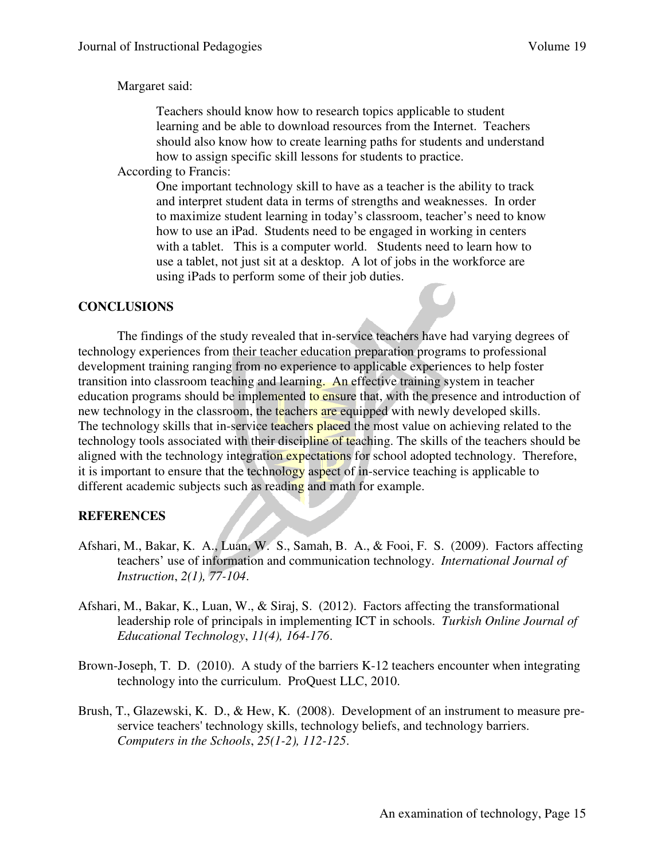#### Margaret said:

Teachers should know how to research topics applicable to student learning and be able to download resources from the Internet. Teachers should also know how to create learning paths for students and understand how to assign specific skill lessons for students to practice.

According to Francis:

One important technology skill to have as a teacher is the ability to track and interpret student data in terms of strengths and weaknesses. In order to maximize student learning in today's classroom, teacher's need to know how to use an iPad. Students need to be engaged in working in centers with a tablet. This is a computer world. Students need to learn how to use a tablet, not just sit at a desktop. A lot of jobs in the workforce are using iPads to perform some of their job duties.

#### **CONCLUSIONS**

The findings of the study revealed that in-service teachers have had varying degrees of technology experiences from their teacher education preparation programs to professional development training ranging from no experience to applicable experiences to help foster transition into classroom teaching and learning. An effective training system in teacher education programs should be implemented to ensure that, with the presence and introduction of new technology in the classroom, the teachers are equipped with newly developed skills. The technology skills that in-service teachers placed the most value on achieving related to the technology tools associated with their discipline of teaching. The skills of the teachers should be aligned with the technology integration expectations for school adopted technology. Therefore, it is important to ensure that the technology aspect of in-service teaching is applicable to different academic subjects such as reading and math for example.

#### **REFERENCES**

- Afshari, M., Bakar, K. A., Luan, W. S., Samah, B. A., & Fooi, F. S. (2009). Factors affecting teachers' use of information and communication technology. *International Journal of Instruction*, *2(1), 77-104*.
- Afshari, M., Bakar, K., Luan, W., & Siraj, S. (2012). Factors affecting the transformational leadership role of principals in implementing ICT in schools. *Turkish Online Journal of Educational Technology*, *11(4), 164-176*.
- Brown-Joseph, T. D. (2010). A study of the barriers K-12 teachers encounter when integrating technology into the curriculum. ProQuest LLC, 2010.
- Brush, T., Glazewski, K. D., & Hew, K. (2008). Development of an instrument to measure preservice teachers' technology skills, technology beliefs, and technology barriers. *Computers in the Schools*, *25(1-2), 112-125*.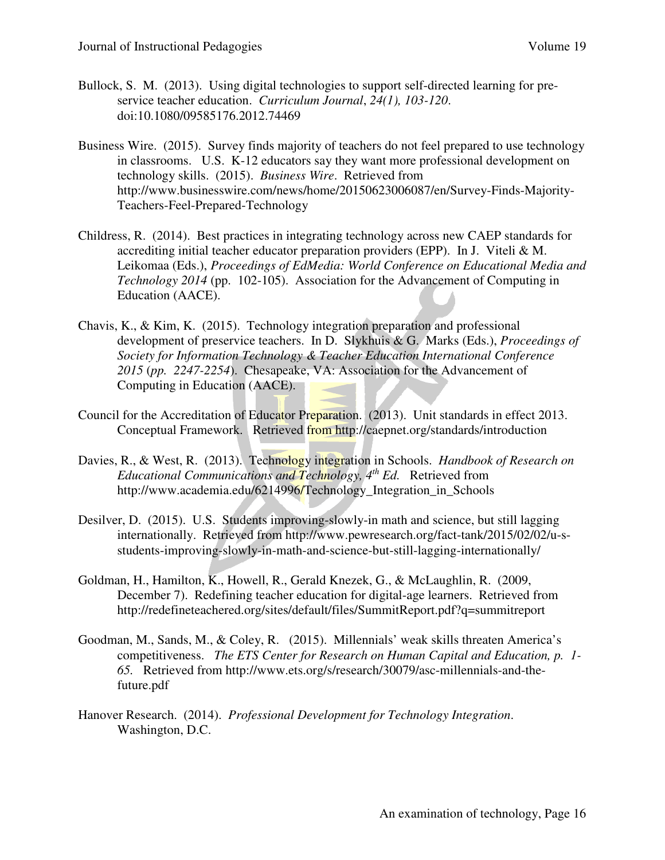- Bullock, S. M. (2013). Using digital technologies to support self-directed learning for preservice teacher education. *Curriculum Journal*, *24(1), 103-120*. doi:10.1080/09585176.2012.74469
- Business Wire. (2015). Survey finds majority of teachers do not feel prepared to use technology in classrooms. U.S. K-12 educators say they want more professional development on technology skills. (2015). *Business Wire*. Retrieved from http://www.businesswire.com/news/home/20150623006087/en/Survey-Finds-Majority-Teachers-Feel-Prepared-Technology
- Childress, R. (2014). Best practices in integrating technology across new CAEP standards for accrediting initial teacher educator preparation providers (EPP). In J. Viteli & M. Leikomaa (Eds.), *Proceedings of EdMedia: World Conference on Educational Media and Technology 2014* (pp. 102-105). Association for the Advancement of Computing in Education (AACE).
- Chavis, K., & Kim, K. (2015). Technology integration preparation and professional development of preservice teachers. In D. Slykhuis & G. Marks (Eds.), *Proceedings of Society for Information Technology & Teacher Education International Conference 2015* (*pp. 2247-2254*). Chesapeake, VA: Association for the Advancement of Computing in Education (AACE).
- Council for the Accreditation of Educator Preparation. (2013). Unit standards in effect 2013. Conceptual Framework. Retrieved from http://caepnet.org/standards/introduction
- Davies, R., & West, R. (2013). Technology integration in Schools. *Handbook of Research on Educational Communications and Technology, 4th Ed.* Retrieved from http://www.academia.edu/6214996/Technology Integration in Schools
- Desilver, D. (2015). U.S. Students improving-slowly-in math and science, but still lagging internationally. Retrieved from http://www.pewresearch.org/fact-tank/2015/02/02/u-sstudents-improving-slowly-in-math-and-science-but-still-lagging-internationally/
- Goldman, H., Hamilton, K., Howell, R., Gerald Knezek, G., & McLaughlin, R. (2009, December 7). Redefining teacher education for digital-age learners. Retrieved from http://redefineteachered.org/sites/default/files/SummitReport.pdf?q=summitreport
- Goodman, M., Sands, M., & Coley, R. (2015). Millennials' weak skills threaten America's competitiveness. *The ETS Center for Research on Human Capital and Education, p. 1- 65.* Retrieved from http://www.ets.org/s/research/30079/asc-millennials-and-thefuture.pdf
- Hanover Research. (2014). *Professional Development for Technology Integration*. Washington, D.C.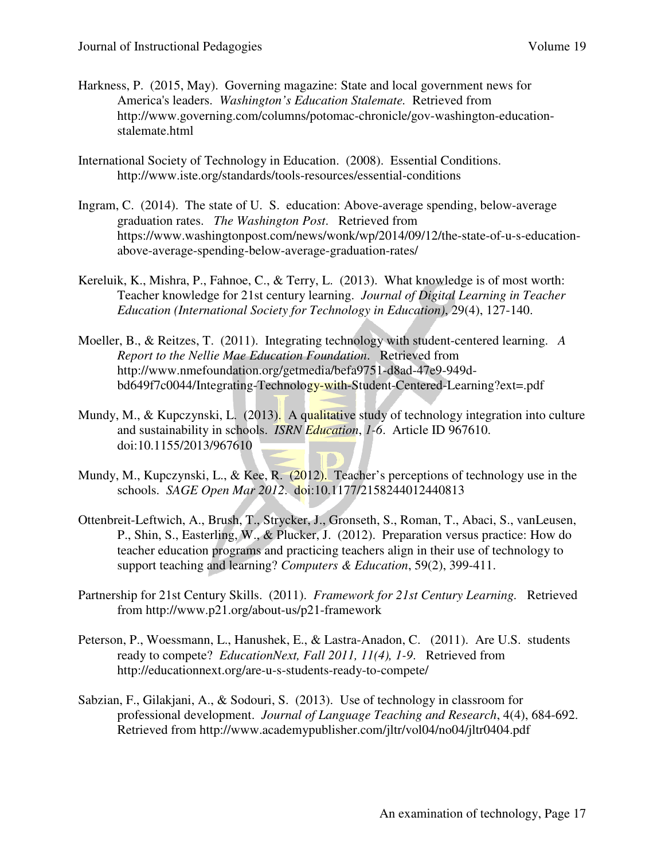- Harkness, P. (2015, May). Governing magazine: State and local government news for America's leaders. *Washington's Education Stalemate.* Retrieved from http://www.governing.com/columns/potomac-chronicle/gov-washington-educationstalemate.html
- International Society of Technology in Education. (2008). Essential Conditions. http://www.iste.org/standards/tools-resources/essential-conditions
- Ingram, C. (2014). The state of U. S. education: Above-average spending, below-average graduation rates. *The Washington Post*. Retrieved from https://www.washingtonpost.com/news/wonk/wp/2014/09/12/the-state-of-u-s-educationabove-average-spending-below-average-graduation-rates/
- Kereluik, K., Mishra, P., Fahnoe, C., & Terry, L. (2013). What knowledge is of most worth: Teacher knowledge for 21st century learning. *Journal of Digital Learning in Teacher Education (International Society for Technology in Education)*, 29(4), 127-140.
- Moeller, B., & Reitzes, T. (2011). Integrating technology with student-centered learning. *A Report to the Nellie Mae Education Foundation*. Retrieved from http://www.nmefoundation.org/getmedia/befa9751-d8ad-47e9-949dbd649f7c0044/Integrating-Technology-with-Student-Centered-Learning?ext=.pdf
- Mundy, M., & Kupczynski, L. (2013). A qualitative study of technology integration into culture and sustainability in schools. *ISRN Education*, *1-6*. Article ID 967610. doi:10.1155/2013/967610
- Mundy, M., Kupczynski, L., & Kee, R. (2012). Teacher's perceptions of technology use in the schools. *SAGE Open Mar 2012*. doi:10.1177/2158244012440813
- Ottenbreit-Leftwich, A., Brush, T., Strycker, J., Gronseth, S., Roman, T., Abaci, S., vanLeusen, P., Shin, S., Easterling, W., & Plucker, J. (2012). Preparation versus practice: How do teacher education programs and practicing teachers align in their use of technology to support teaching and learning? *Computers & Education*, 59(2), 399-411.
- Partnership for 21st Century Skills. (2011). *Framework for 21st Century Learning.* Retrieved from http://www.p21.org/about-us/p21-framework
- Peterson, P., Woessmann, L., Hanushek, E., & Lastra-Anadon, C. (2011). Are U.S. students ready to compete? *EducationNext, Fall 2011, 11(4), 1-9*. Retrieved from http://educationnext.org/are-u-s-students-ready-to-compete/
- Sabzian, F., Gilakjani, A., & Sodouri, S. (2013). Use of technology in classroom for professional development. *Journal of Language Teaching and Research*, 4(4), 684-692. Retrieved from http://www.academypublisher.com/jltr/vol04/no04/jltr0404.pdf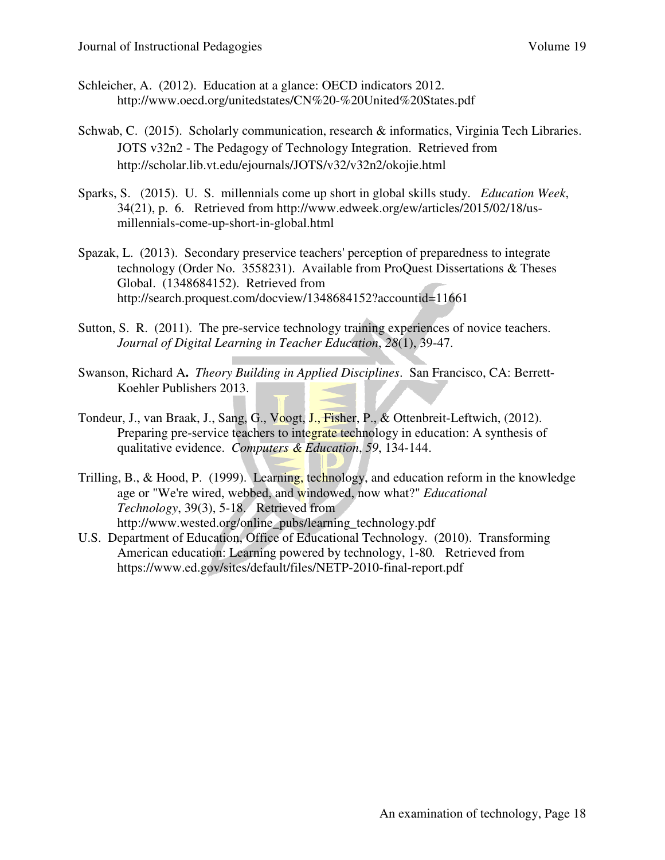- Schleicher, A. (2012). Education at a glance: OECD indicators 2012. http://www.oecd.org/unitedstates/CN%20-%20United%20States.pdf
- Schwab, C. (2015). Scholarly communication, research & informatics, Virginia Tech Libraries. JOTS v32n2 - The Pedagogy of Technology Integration. Retrieved from http://scholar.lib.vt.edu/ejournals/JOTS/v32/v32n2/okojie.html
- Sparks, S. (2015). U. S. millennials come up short in global skills study. *Education Week*, 34(21), p. 6. Retrieved from http://www.edweek.org/ew/articles/2015/02/18/usmillennials-come-up-short-in-global.html
- Spazak, L. (2013). Secondary preservice teachers' perception of preparedness to integrate technology (Order No. 3558231). Available from ProQuest Dissertations & Theses Global. (1348684152). Retrieved from http://search.proquest.com/docview/1348684152?accountid=11661
- Sutton, S. R. (2011). The pre-service technology training experiences of novice teachers. *Journal of Digital Learning in Teacher Education*, *28*(1), 39-47.
- Swanson, Richard A**.** *Theory Building in Applied Disciplines*. San Francisco, CA: Berrett-Koehler Publishers 2013.
- Tondeur, J., van Braak, J., Sang, G., Voogt, J., Fisher, P., & Ottenbreit-Leftwich, (2012). Preparing pre-service teachers to integrate technology in education: A synthesis of qualitative evidence. *Computers & Education*, *59*, 134-144.
- Trilling, B., & Hood, P. (1999). Learning, technology, and education reform in the knowledge age or "We're wired, webbed, and windowed, now what?" *Educational Technology*, 39(3), 5-18. Retrieved from http://www.wested.org/online\_pubs/learning\_technology.pdf
- U.S. Department of Education, Office of Educational Technology. (2010). Transforming American education: Learning powered by technology, 1-80*.* Retrieved from https://www.ed.gov/sites/default/files/NETP-2010-final-report.pdf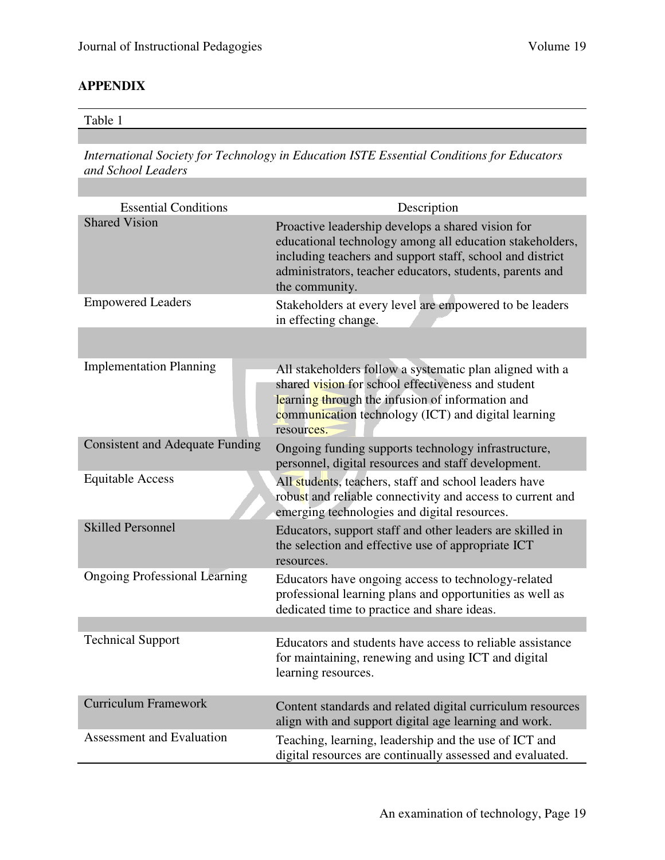## **APPENDIX**

#### Table 1

*International Society for Technology in Education ISTE Essential Conditions for Educators and School Leaders* 

| <b>Essential Conditions</b>            | Description                                                                                                                                                                                                                                              |
|----------------------------------------|----------------------------------------------------------------------------------------------------------------------------------------------------------------------------------------------------------------------------------------------------------|
| <b>Shared Vision</b>                   | Proactive leadership develops a shared vision for<br>educational technology among all education stakeholders,<br>including teachers and support staff, school and district<br>administrators, teacher educators, students, parents and<br>the community. |
| <b>Empowered Leaders</b>               | Stakeholders at every level are empowered to be leaders<br>in effecting change.                                                                                                                                                                          |
|                                        |                                                                                                                                                                                                                                                          |
| <b>Implementation Planning</b>         | All stakeholders follow a systematic plan aligned with a<br>shared vision for school effectiveness and student<br>learning through the infusion of information and<br>communication technology (ICT) and digital learning<br>resources.                  |
| <b>Consistent and Adequate Funding</b> | Ongoing funding supports technology infrastructure,<br>personnel, digital resources and staff development.                                                                                                                                               |
| <b>Equitable Access</b>                | All students, teachers, staff and school leaders have<br>robust and reliable connectivity and access to current and<br>emerging technologies and digital resources.                                                                                      |
| <b>Skilled Personnel</b>               | Educators, support staff and other leaders are skilled in<br>the selection and effective use of appropriate ICT<br>resources.                                                                                                                            |
| <b>Ongoing Professional Learning</b>   | Educators have ongoing access to technology-related<br>professional learning plans and opportunities as well as<br>dedicated time to practice and share ideas.                                                                                           |
|                                        |                                                                                                                                                                                                                                                          |
| <b>Technical Support</b>               | Educators and students have access to reliable assistance<br>for maintaining, renewing and using ICT and digital<br>learning resources.                                                                                                                  |
| <b>Curriculum Framework</b>            | Content standards and related digital curriculum resources<br>align with and support digital age learning and work.                                                                                                                                      |
| <b>Assessment and Evaluation</b>       | Teaching, learning, leadership and the use of ICT and<br>digital resources are continually assessed and evaluated.                                                                                                                                       |